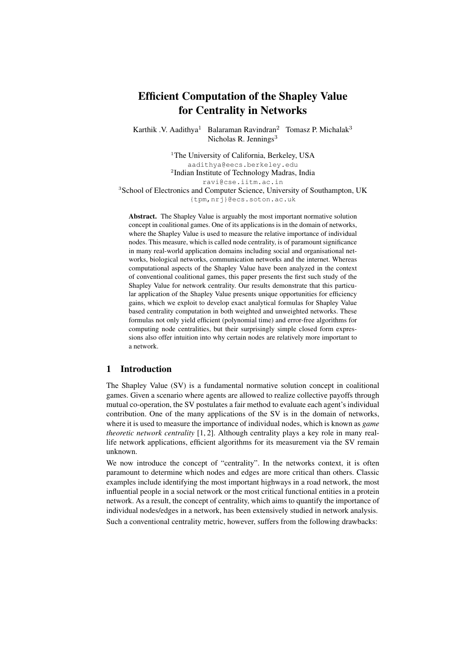# Efficient Computation of the Shapley Value for Centrality in Networks

Karthik .V. Aadithya<sup>1</sup> Balaraman Ravindran<sup>2</sup> Tomasz P. Michalak<sup>3</sup> Nicholas R. Jennings $3$ 

<sup>1</sup>The University of California, Berkeley, USA aadithya@eecs.berkeley.edu 2 Indian Institute of Technology Madras, India ravi@cse.iitm.ac.in <sup>3</sup>School of Electronics and Computer Science, University of Southampton, UK {tpm,nrj}@ecs.soton.ac.uk

Abstract. The Shapley Value is arguably the most important normative solution concept in coalitional games. One of its applications is in the domain of networks, where the Shapley Value is used to measure the relative importance of individual nodes. This measure, which is called node centrality, is of paramount significance in many real-world application domains including social and organisational networks, biological networks, communication networks and the internet. Whereas computational aspects of the Shapley Value have been analyzed in the context of conventional coalitional games, this paper presents the first such study of the Shapley Value for network centrality. Our results demonstrate that this particular application of the Shapley Value presents unique opportunities for efficiency gains, which we exploit to develop exact analytical formulas for Shapley Value based centrality computation in both weighted and unweighted networks. These formulas not only yield efficient (polynomial time) and error-free algorithms for computing node centralities, but their surprisingly simple closed form expressions also offer intuition into why certain nodes are relatively more important to a network.

## 1 Introduction

The Shapley Value (SV) is a fundamental normative solution concept in coalitional games. Given a scenario where agents are allowed to realize collective payoffs through mutual co-operation, the SV postulates a fair method to evaluate each agent's individual contribution. One of the many applications of the SV is in the domain of networks, where it is used to measure the importance of individual nodes, which is known as *game theoretic network centrality* [1, 2]. Although centrality plays a key role in many reallife network applications, efficient algorithms for its measurement via the SV remain unknown.

We now introduce the concept of "centrality". In the networks context, it is often paramount to determine which nodes and edges are more critical than others. Classic examples include identifying the most important highways in a road network, the most influential people in a social network or the most critical functional entities in a protein network. As a result, the concept of centrality, which aims to quantify the importance of individual nodes/edges in a network, has been extensively studied in network analysis.

Such a conventional centrality metric, however, suffers from the following drawbacks: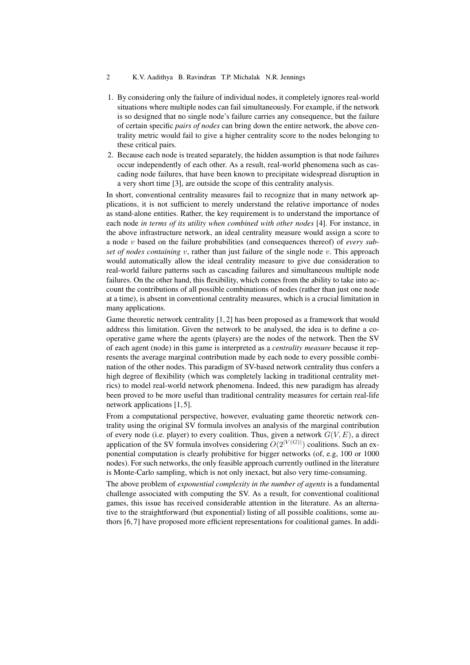#### 2 K.V. Aadithya B. Ravindran T.P. Michalak N.R. Jennings

- 1. By considering only the failure of individual nodes, it completely ignores real-world situations where multiple nodes can fail simultaneously. For example, if the network is so designed that no single node's failure carries any consequence, but the failure of certain specific *pairs of nodes* can bring down the entire network, the above centrality metric would fail to give a higher centrality score to the nodes belonging to these critical pairs.
- 2. Because each node is treated separately, the hidden assumption is that node failures occur independently of each other. As a result, real-world phenomena such as cascading node failures, that have been known to precipitate widespread disruption in a very short time [3], are outside the scope of this centrality analysis.

In short, conventional centrality measures fail to recognize that in many network applications, it is not sufficient to merely understand the relative importance of nodes as stand-alone entities. Rather, the key requirement is to understand the importance of each node *in terms of its utility when combined with other nodes* [4]. For instance, in the above infrastructure network, an ideal centrality measure would assign a score to a node v based on the failure probabilities (and consequences thereof) of *every subset of nodes containing*  $v$ , rather than just failure of the single node  $v$ . This approach would automatically allow the ideal centrality measure to give due consideration to real-world failure patterns such as cascading failures and simultaneous multiple node failures. On the other hand, this flexibility, which comes from the ability to take into account the contributions of all possible combinations of nodes (rather than just one node at a time), is absent in conventional centrality measures, which is a crucial limitation in many applications.

Game theoretic network centrality [1, 2] has been proposed as a framework that would address this limitation. Given the network to be analysed, the idea is to define a cooperative game where the agents (players) are the nodes of the network. Then the SV of each agent (node) in this game is interpreted as a *centrality measure* because it represents the average marginal contribution made by each node to every possible combination of the other nodes. This paradigm of SV-based network centrality thus confers a high degree of flexibility (which was completely lacking in traditional centrality metrics) to model real-world network phenomena. Indeed, this new paradigm has already been proved to be more useful than traditional centrality measures for certain real-life network applications [1, 5].

From a computational perspective, however, evaluating game theoretic network centrality using the original SV formula involves an analysis of the marginal contribution of every node (i.e. player) to every coalition. Thus, given a network  $G(V, E)$ , a direct application of the SV formula involves considering  $O(2^{|V(G)|})$  coalitions. Such an exponential computation is clearly prohibitive for bigger networks (of, e.g, 100 or 1000 nodes). For such networks, the only feasible approach currently outlined in the literature is Monte-Carlo sampling, which is not only inexact, but also very time-consuming.

The above problem of *exponential complexity in the number of agents* is a fundamental challenge associated with computing the SV. As a result, for conventional coalitional games, this issue has received considerable attention in the literature. As an alternative to the straightforward (but exponential) listing of all possible coalitions, some authors [6, 7] have proposed more efficient representations for coalitional games. In addi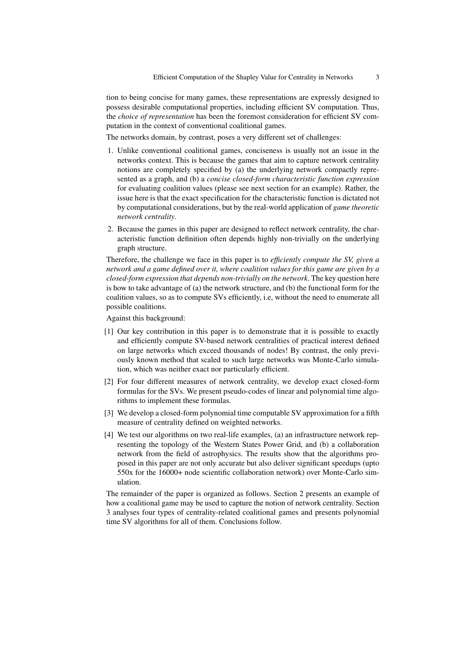tion to being concise for many games, these representations are expressly designed to possess desirable computational properties, including efficient SV computation. Thus, the *choice of representation* has been the foremost consideration for efficient SV computation in the context of conventional coalitional games.

The networks domain, by contrast, poses a very different set of challenges:

- 1. Unlike conventional coalitional games, conciseness is usually not an issue in the networks context. This is because the games that aim to capture network centrality notions are completely specified by (a) the underlying network compactly represented as a graph, and (b) a *concise closed-form characteristic function expression* for evaluating coalition values (please see next section for an example). Rather, the issue here is that the exact specification for the characteristic function is dictated not by computational considerations, but by the real-world application of *game theoretic network centrality*.
- 2. Because the games in this paper are designed to reflect network centrality, the characteristic function definition often depends highly non-trivially on the underlying graph structure.

Therefore, the challenge we face in this paper is to *efficiently compute the SV, given a network and a game defined over it, where coalition values for this game are given by a closed-form expression that depends non-trivially on the network*. The key question here is how to take advantage of (a) the network structure, and (b) the functional form for the coalition values, so as to compute SVs efficiently, i.e, without the need to enumerate all possible coalitions.

Against this background:

- [1] Our key contribution in this paper is to demonstrate that it is possible to exactly and efficiently compute SV-based network centralities of practical interest defined on large networks which exceed thousands of nodes! By contrast, the only previously known method that scaled to such large networks was Monte-Carlo simulation, which was neither exact nor particularly efficient.
- [2] For four different measures of network centrality, we develop exact closed-form formulas for the SVs. We present pseudo-codes of linear and polynomial time algorithms to implement these formulas.
- [3] We develop a closed-form polynomial time computable SV approximation for a fifth measure of centrality defined on weighted networks.
- [4] We test our algorithms on two real-life examples, (a) an infrastructure network representing the topology of the Western States Power Grid, and (b) a collaboration network from the field of astrophysics. The results show that the algorithms proposed in this paper are not only accurate but also deliver significant speedups (upto 550x for the 16000+ node scientific collaboration network) over Monte-Carlo simulation.

The remainder of the paper is organized as follows. Section 2 presents an example of how a coalitional game may be used to capture the notion of network centrality. Section 3 analyses four types of centrality-related coalitional games and presents polynomial time SV algorithms for all of them. Conclusions follow.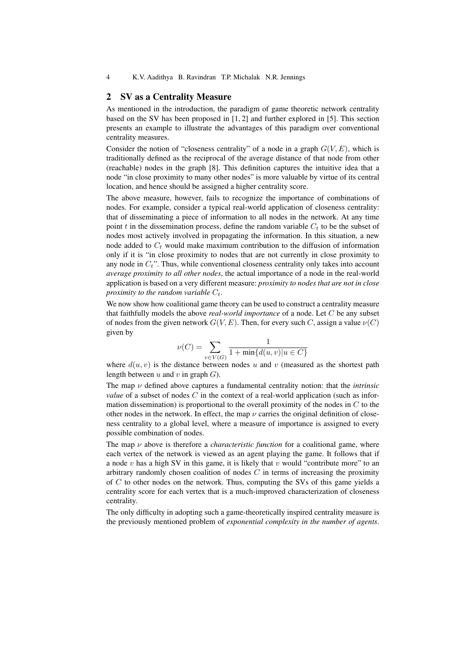4 K.V. Aadithya B. Ravindran T.P. Michalak N.R. Jennings

## 2 SV as a Centrality Measure

As mentioned in the introduction, the paradigm of game theoretic network centrality based on the SV has been proposed in [1, 2] and further explored in [5]. This section presents an example to illustrate the advantages of this paradigm over conventional centrality measures.

Consider the notion of "closeness centrality" of a node in a graph  $G(V, E)$ , which is traditionally defined as the reciprocal of the average distance of that node from other (reachable) nodes in the graph [8]. This definition captures the intuitive idea that a node "in close proximity to many other nodes" is more valuable by virtue of its central location, and hence should be assigned a higher centrality score.

The above measure, however, fails to recognize the importance of combinations of nodes. For example, consider a typical real-world application of closeness centrality: that of disseminating a piece of information to all nodes in the network. At any time point t in the dissemination process, define the random variable  $C_t$  to be the subset of nodes most actively involved in propagating the information. In this situation, a new node added to  $C_t$  would make maximum contribution to the diffusion of information only if it is "in close proximity to nodes that are not currently in close proximity to any node in  $C_t$ ". Thus, while conventional closeness centrality only takes into account *average proximity to all other nodes*, the actual importance of a node in the real-world application is based on a very different measure: *proximity to nodes that are not in close proximity to the random variable*  $C_t$ .

We now show how coalitional game theory can be used to construct a centrality measure that faithfully models the above *real-world importance* of a node. Let C be any subset of nodes from the given network  $G(V, E)$ . Then, for every such C, assign a value  $\nu(C)$ given by

$$
\nu(C)=\sum_{v\in V(G)}\frac{1}{1+\min\{d(u,v)|u\in C\}}
$$

where  $d(u, v)$  is the distance between nodes u and v (measured as the shortest path length between  $u$  and  $v$  in graph  $G$ ).

The map  $\nu$  defined above captures a fundamental centrality notion: that the *intrinsic value* of a subset of nodes C in the context of a real-world application (such as information dissemination) is proportional to the overall proximity of the nodes in  $C$  to the other nodes in the network. In effect, the map  $\nu$  carries the original definition of closeness centrality to a global level, where a measure of importance is assigned to every possible combination of nodes.

The map  $\nu$  above is therefore a *characteristic function* for a coalitional game, where each vertex of the network is viewed as an agent playing the game. It follows that if a node v has a high SV in this game, it is likely that v would "contribute more" to an arbitrary randomly chosen coalition of nodes  $C$  in terms of increasing the proximity of  $C$  to other nodes on the network. Thus, computing the SVs of this game yields a centrality score for each vertex that is a much-improved characterization of closeness centrality.

The only difficulty in adopting such a game-theoretically inspired centrality measure is the previously mentioned problem of *exponential complexity in the number of agents*.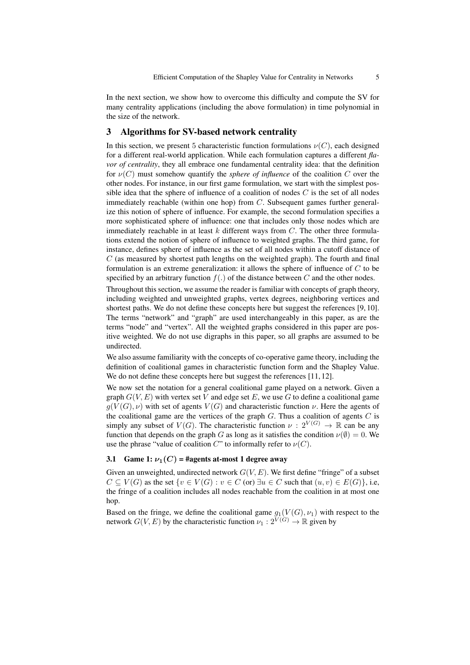In the next section, we show how to overcome this difficulty and compute the SV for many centrality applications (including the above formulation) in time polynomial in the size of the network.

### 3 Algorithms for SV-based network centrality

In this section, we present 5 characteristic function formulations  $\nu(C)$ , each designed for a different real-world application. While each formulation captures a different *flavor of centrality*, they all embrace one fundamental centrality idea: that the definition for  $\nu(C)$  must somehow quantify the *sphere of influence* of the coalition C over the other nodes. For instance, in our first game formulation, we start with the simplest possible idea that the sphere of influence of a coalition of nodes  $C$  is the set of all nodes immediately reachable (within one hop) from C. Subsequent games further generalize this notion of sphere of influence. For example, the second formulation specifies a more sophisticated sphere of influence: one that includes only those nodes which are immediately reachable in at least  $k$  different ways from  $C$ . The other three formulations extend the notion of sphere of influence to weighted graphs. The third game, for instance, defines sphere of influence as the set of all nodes within a cutoff distance of  $C$  (as measured by shortest path lengths on the weighted graph). The fourth and final formulation is an extreme generalization: it allows the sphere of influence of  $C$  to be specified by an arbitrary function  $f(.)$  of the distance between C and the other nodes.

Throughout this section, we assume the reader is familiar with concepts of graph theory, including weighted and unweighted graphs, vertex degrees, neighboring vertices and shortest paths. We do not define these concepts here but suggest the references [9, 10]. The terms "network" and "graph" are used interchangeably in this paper, as are the terms "node" and "vertex". All the weighted graphs considered in this paper are positive weighted. We do not use digraphs in this paper, so all graphs are assumed to be undirected.

We also assume familiarity with the concepts of co-operative game theory, including the definition of coalitional games in characteristic function form and the Shapley Value. We do not define these concepts here but suggest the references [11, 12].

We now set the notation for a general coalitional game played on a network. Given a graph  $G(V, E)$  with vertex set V and edge set E, we use G to define a coalitional game  $g(V(G), \nu)$  with set of agents  $V(G)$  and characteristic function  $\nu$ . Here the agents of the coalitional game are the vertices of the graph  $G$ . Thus a coalition of agents  $C$  is simply any subset of  $V(G)$ . The characteristic function  $\nu : 2^{V(G)} \to \mathbb{R}$  can be any function that depends on the graph G as long as it satisfies the condition  $\nu(\emptyset) = 0$ . We use the phrase "value of coalition  $C$ " to informally refer to  $\nu(C)$ .

#### 3.1 Game 1:  $\nu_1(C) =$  #agents at-most 1 degree away

Given an unweighted, undirected network  $G(V, E)$ . We first define "fringe" of a subset  $C \subseteq V(G)$  as the set  $\{v \in V(G) : v \in C$  (or)  $\exists u \in C$  such that  $(u, v) \in E(G)\}$ , i.e, the fringe of a coalition includes all nodes reachable from the coalition in at most one hop.

Based on the fringe, we define the coalitional game  $g_1(V(G), \nu_1)$  with respect to the network  $G(V, E)$  by the characteristic function  $\nu_1 : 2^{V(G)} \to \mathbb{R}$  given by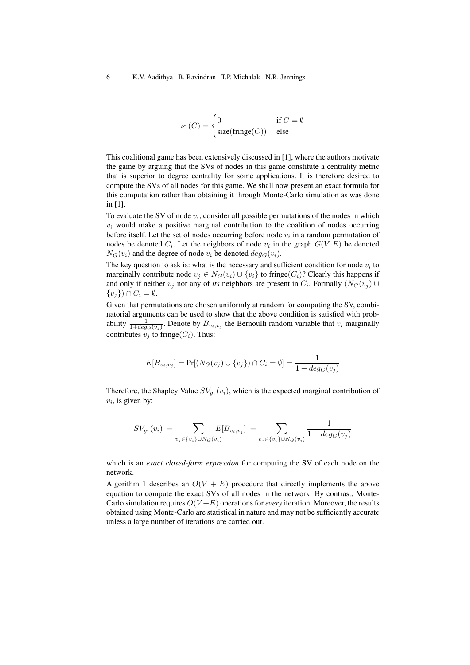$$
\nu_1(C) = \begin{cases} 0 & \text{if } C = \emptyset \\ \text{size}(\text{fringe}(C)) & \text{else} \end{cases}
$$

This coalitional game has been extensively discussed in [1], where the authors motivate the game by arguing that the SVs of nodes in this game constitute a centrality metric that is superior to degree centrality for some applications. It is therefore desired to compute the SVs of all nodes for this game. We shall now present an exact formula for this computation rather than obtaining it through Monte-Carlo simulation as was done in [1].

To evaluate the SV of node  $v_i$ , consider all possible permutations of the nodes in which  $v_i$  would make a positive marginal contribution to the coalition of nodes occurring before itself. Let the set of nodes occurring before node  $v_i$  in a random permutation of nodes be denoted  $C_i$ . Let the neighbors of node  $v_i$  in the graph  $G(V, E)$  be denoted  $N_G(v_i)$  and the degree of node  $v_i$  be denoted  $deg_G(v_i)$ .

The key question to ask is: what is the necessary and sufficient condition for node  $v_i$  to marginally contribute node  $v_i \in N_G(v_i) \cup \{v_i\}$  to fringe $(C_i)$ ? Clearly this happens if and only if neither  $v_j$  nor any of *its* neighbors are present in  $C_i$ . Formally  $(N_G(v_j) \cup$  $\{v_i\}\}\cap C_i=\emptyset.$ 

Given that permutations are chosen uniformly at random for computing the SV, combinatorial arguments can be used to show that the above condition is satisfied with probability  $\frac{1}{1+deg_G(v_j)}$ . Denote by  $B_{v_i,v_j}$  the Bernoulli random variable that  $v_i$  marginally contributes  $v_i$  to fringe( $C_i$ ). Thus:

$$
E[B_{v_i, v_j}] = \Pr[(N_G(v_j) \cup \{v_j\}) \cap C_i = \emptyset] = \frac{1}{1 + deg_G(v_j)}
$$

Therefore, the Shapley Value  $SV_{g_1}(v_i)$ , which is the expected marginal contribution of  $v_i$ , is given by:

$$
SV_{g_1}(v_i) = \sum_{v_j \in \{v_i\} \cup N_G(v_i)} E[B_{v_i, v_j}] = \sum_{v_j \in \{v_i\} \cup N_G(v_i)} \frac{1}{1 + deg_G(v_j)}
$$

which is an *exact closed-form expression* for computing the SV of each node on the network.

Algorithm 1 describes an  $O(V + E)$  procedure that directly implements the above equation to compute the exact SVs of all nodes in the network. By contrast, Monte-Carlo simulation requires  $O(V + E)$  operations for *every* iteration. Moreover, the results obtained using Monte-Carlo are statistical in nature and may not be sufficiently accurate unless a large number of iterations are carried out.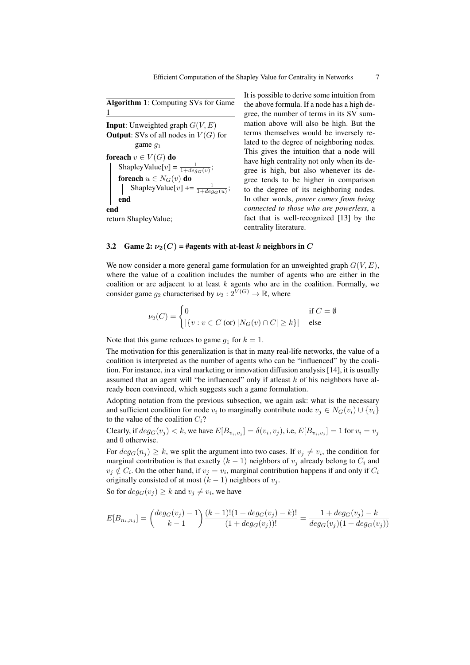Algorithm 1: Computing SVs for Game 1

**Input:** Unweighted graph  $G(V, E)$ **Output:** SVs of all nodes in  $V(G)$  for game  $q_1$ foreach  $v \in V(G)$  do ShapleyValue[v] =  $\frac{1}{1 + deg_G(v)}$ ; foreach  $u \in N_G(v)$  do ShapleyValue[v] +=  $\frac{1}{1 + deg_G(u)}$ ; end end return ShapleyValue;

It is possible to derive some intuition from the above formula. If a node has a high degree, the number of terms in its SV summation above will also be high. But the terms themselves would be inversely related to the degree of neighboring nodes. This gives the intuition that a node will have high centrality not only when its degree is high, but also whenever its degree tends to be higher in comparison to the degree of its neighboring nodes. In other words, *power comes from being connected to those who are powerless*, a fact that is well-recognized [13] by the centrality literature.

## 3.2 Game 2:  $\nu_2(C)$  = #agents with at-least k neighbors in C

We now consider a more general game formulation for an unweighted graph  $G(V, E)$ , where the value of a coalition includes the number of agents who are either in the coalition or are adjacent to at least  $k$  agents who are in the coalition. Formally, we consider game  $q_2$  characterised by  $\nu_2 : 2^{\tilde{V}(G)} \to \mathbb{R}$ , where

$$
\nu_2(C) = \begin{cases} 0 & \text{if } C = \emptyset \\ |\{v : v \in C \text{ (or) } |N_G(v) \cap C| \ge k\}| & \text{else} \end{cases}
$$

Note that this game reduces to game  $g_1$  for  $k = 1$ .

The motivation for this generalization is that in many real-life networks, the value of a coalition is interpreted as the number of agents who can be "influenced" by the coalition. For instance, in a viral marketing or innovation diffusion analysis [14], it is usually assumed that an agent will "be influenced" only if atleast  $k$  of his neighbors have already been convinced, which suggests such a game formulation.

Adopting notation from the previous subsection, we again ask: what is the necessary and sufficient condition for node  $v_i$  to marginally contribute node  $v_j \in N_G(v_i) \cup \{v_i\}$ to the value of the coalition  $C_i$ ?

Clearly, if  $deg_G(v_j) < k$ , we have  $E[B_{v_i,v_j}] = \delta(v_i, v_j)$ , i.e,  $E[B_{v_i,v_j}] = 1$  for  $v_i = v_j$ and 0 otherwise.

For  $deg_G(n_j) \geq k$ , we split the argument into two cases. If  $v_j \neq v_i$ , the condition for marginal contribution is that exactly  $(k - 1)$  neighbors of  $v_j$  already belong to  $C_i$  and  $v_j \notin C_i$ . On the other hand, if  $v_j = v_i$ , marginal contribution happens if and only if  $C_i$ originally consisted of at most  $(k - 1)$  neighbors of  $v_i$ .

So for  $deg_G(v_j) \geq k$  and  $v_j \neq v_i$ , we have

$$
E[B_{n_i,n_j}] = {deg_G(v_j) - 1 \choose k - 1} \frac{(k - 1)!(1 + deg_G(v_j) - k)!}{(1 + deg_G(v_j))!} = \frac{1 + deg_G(v_j) - k}{deg_G(v_j)(1 + deg_G(v_j))}
$$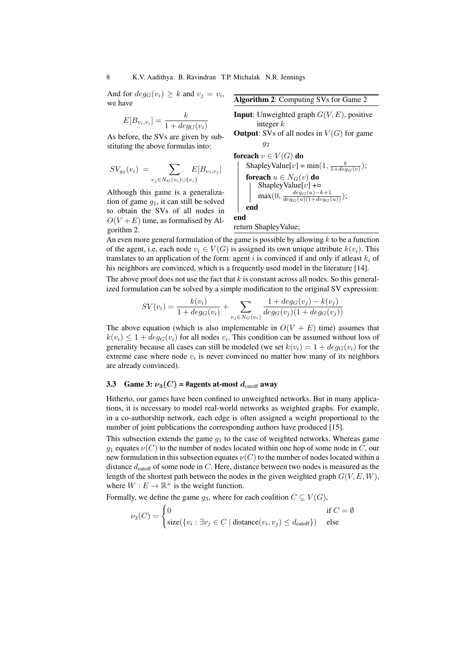And for  $deg_G(v_i) \geq k$  and  $v_j = v_i$ , we have

$$
E[B_{v_i, v_i}] = \frac{k}{1 + deg_G(v_i)}
$$

As before, the SVs are given by substituting the above formulas into:

$$
SV_{g_2}(v_i) = \sum_{v_j \in N_G(v_i) \cup \{v_i\}} E[B_{v_i, v_j}]
$$

Although this game is a generalization of game  $q_1$ , it can still be solved to obtain the SVs of all nodes in  $O(V + E)$  time, as formalised by Algorithm 2.

Algorithm 2: Computing SVs for Game 2

**Input:** Unweighted graph  $G(V, E)$ , positive integer  $k$ **Output:** SVs of all nodes in  $V(G)$  for game  $g<sub>2</sub>$ foreach  $v \in V(G)$  do ShapleyValue[v] = min(1,  $\frac{k}{1+deg_G(v)}$ ); foreach  $u \in N_G(v)$  do ShapleyValue $[v]$  +=  $max(0, \frac{deg_G(u)-k+1}{deg_G(u)(1+deg_G(u))});$ 

end

end return ShapleyValue;

An even more general formulation of the game is possible by allowing  $k$  to be a function of the agent, i.e, each node  $v_i \in V(G)$  is assigned its own unique attribute  $k(v_i)$ . This translates to an application of the form: agent i is convinced if and only if at least  $k_i$  of his neighbors are convinced, which is a frequently used model in the literature [14].

The above proof does not use the fact that  $k$  is constant across all nodes. So this generalized formulation can be solved by a simple modification to the original SV expression:

$$
SV(v_i) = \frac{k(v_i)}{1 + deg_G(v_i)} + \sum_{v_j \in N_G(v_i)} \frac{1 + deg_G(v_j) - k(v_j)}{deg_G(v_j)(1 + deg_G(v_j))}
$$

The above equation (which is also implementable in  $O(V + E)$  time) assumes that  $k(v_i) \leq 1 + deg_G(v_i)$  for all nodes  $v_i$ . This condition can be assumed without loss of generality because all cases can still be modeled (we set  $k(v_i) = 1 + deg_G(v_i)$  for the extreme case where node  $v_i$  is never convinced no matter how many of its neighbors are already convinced).

## 3.3 Game 3:  $\nu_3(C)$  = #agents at-most  $d_{\text{cutoff}}$  away

Hitherto, our games have been confined to unweighted networks. But in many applications, it is necessary to model real-world networks as weighted graphs. For example, in a co-authorship network, each edge is often assigned a weight proportional to the number of joint publications the corresponding authors have produced [15].

This subsection extends the game  $g_1$  to the case of weighted networks. Whereas game  $g_1$  equates  $\nu(C)$  to the number of nodes located within one hop of some node in C, our new formulation in this subsection equates  $\nu(C)$  to the number of nodes located within a distance  $d_{\text{cutoff}}$  of some node in C. Here, distance between two nodes is measured as the length of the shortest path between the nodes in the given weighted graph  $G(V, E, W)$ , where  $W : E \to \mathbb{R}^+$  is the weight function.

Formally, we define the game  $g_3$ , where for each coalition  $C \subseteq V(G)$ ,

$$
\nu_3(C) = \begin{cases} 0 & \text{if } C = \emptyset \\ \text{size}(\{v_i : \exists v_j \in C \mid \text{distance}(v_i, v_j) \le d_{\text{cutoff}}\}) & \text{else} \end{cases}
$$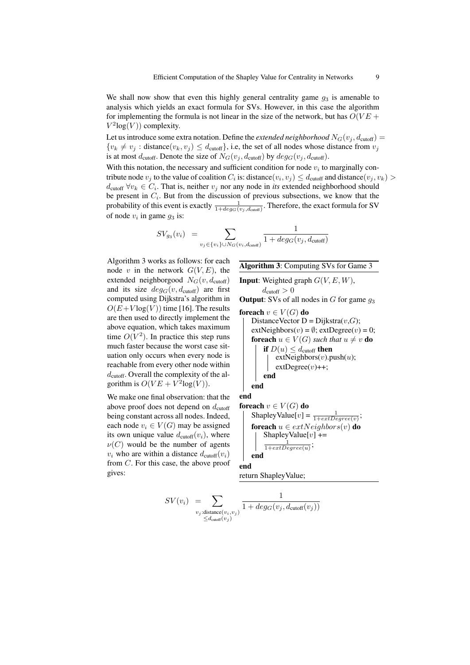We shall now show that even this highly general centrality game  $g_3$  is amenable to analysis which yields an exact formula for SVs. However, in this case the algorithm for implementing the formula is not linear in the size of the network, but has  $O(VE + )$  $V^2 \log(V)$ ) complexity.

Let us introduce some extra notation. Define the *extended neighborhood*  $N_G(v_i, d_{\text{cutoff}})$  =  $\{v_k \neq v_j : \text{distance}(v_k, v_j) \leq d_{\text{cutoff}}\}$ , i.e, the set of all nodes whose distance from  $v_j$ is at most  $d_{\text{cutoff}}$ . Denote the size of  $N_G(v_i, d_{\text{cutoff}})$  by  $deg_G(v_i, d_{\text{cutoff}})$ .

With this notation, the necessary and sufficient condition for node  $v_i$  to marginally contribute node  $v_j$  to the value of coalition  $C_i$  is: distance $(v_i, v_j) \leq d_{\text{cutoff}}$  and distance $(v_j, v_k) > d_{\text{cutoff}}$  $d_{\text{cutoff}} \,\forall v_k \in C_i$ . That is, neither  $v_j$  nor any node in *its* extended neighborhood should be present in  $C_i$ . But from the discussion of previous subsections, we know that the probability of this event is exactly  $\frac{1}{1+deg_G(v_j, d_{\text{cutoff}})}$ . Therefore, the exact formula for SV of node  $v_i$  in game  $g_3$  is:

$$
SV_{g_3}(v_i) \;\; = \sum_{v_j \in \{v_i\} \cup N_G(v_i, d_{\text{cutoff}})} \frac{1}{1 + deg_G(v_j, d_{\text{cutoff}})}
$$

Algorithm 3 works as follows: for each node v in the network  $G(V, E)$ , the extended neighborgood  $N_G(v, d_{\text{cutoff}})$ and its size  $deg_G(v, d_{\text{cutoff}})$  are first computed using Dijkstra's algorithm in  $O(E+V \log(V))$  time [16]. The results are then used to directly implement the above equation, which takes maximum time  $O(V^2)$ . In practice this step runs much faster because the worst case situation only occurs when every node is reachable from every other node within  $d_{\text{cutoff}}$ . Overall the complexity of the algorithm is  $O(VE + V^2 \log(V))$ .

We make one final observation: that the above proof does not depend on  $d_{\text{cutoff}}$ being constant across all nodes. Indeed, each node  $v_i \in V(G)$  may be assigned its own unique value  $d_{\text{cutoff}}(v_i)$ , where  $\nu(C)$  would be the number of agents  $v_i$  who are within a distance  $d_{\text{cutoff}}(v_i)$ from C. For this case, the above proof gives:

## Algorithm 3: Computing SVs for Game 3

**Input:** Weighted graph  $G(V, E, W)$ ,  $d_{\text{cutoff}} > 0$ 

**Output:** SVs of all nodes in  $G$  for game  $g_3$ 

foreach  $v \in V(G)$  do DistanceVector D = Dijkstra $(v, G)$ ; extNeighbors(v) =  $\emptyset$ ; extDegree(v) = 0; **foreach**  $u \in V(G)$  *such that*  $u \neq v$  **do** if  $D(u) \leq d_{\text{cutoff}}$  then  $extNeighbors(v).push(u);$  $extDegree(v)++;$ end end

end

**forecast** 
$$
v \in V(G)
$$
 **do**  
\nShapleyValue[v] =  $\frac{1}{1+extDegree(v)}$ ;  
\n**forecast**  $u \in extNeighbors(v)$  **do**  
\nShapleyValue[v] +=  
\n $\frac{1}{1+extDegree(u)}$ ;  
\n**end**  
\n**end**

return ShapleyValue;

$$
SV(v_i) = \sum_{\substack{v_j:\text{distance}(v_i,v_j)\\ \leq d_{\text{cutoff}}(v_j)}} \frac{1}{1 + deg_G(v_j, d_{\text{cutoff}}(v_j))}
$$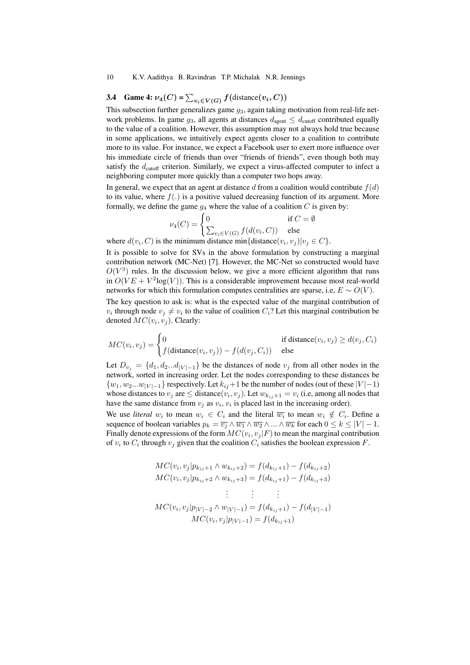#### 10 K.V. Aadithya B. Ravindran T.P. Michalak N.R. Jennings

## **3.4** Game 4:  $\nu_4(C) = \sum_{v_i \in V(G)} f(\text{distance}(v_i, C))$

This subsection further generalizes game  $g_3$ , again taking motivation from real-life network problems. In game  $g_3$ , all agents at distances  $d_{\text{agent}} \leq d_{\text{cutoff}}$  contributed equally to the value of a coalition. However, this assumption may not always hold true because in some applications, we intuitively expect agents closer to a coalition to contribute more to its value. For instance, we expect a Facebook user to exert more influence over his immediate circle of friends than over "friends of friends", even though both may satisfy the  $d_{\text{cutoff}}$  criterion. Similarly, we expect a virus-affected computer to infect a neighboring computer more quickly than a computer two hops away.

In general, we expect that an agent at distance d from a coalition would contribute  $f(d)$ to its value, where  $f(.)$  is a positive valued decreasing function of its argument. More formally, we define the game  $g_4$  where the value of a coalition C is given by:

$$
\nu_4(C) = \begin{cases} 0 & \text{if } C = \emptyset \\ \sum_{v_i \in V(G)} f(d(v_i, C)) & \text{else} \end{cases}
$$

where  $d(v_i, C)$  is the minimum distance min{distance $(v_i, v_j)|v_j \in C$ }.

It is possible to solve for SVs in the above formulation by constructing a marginal contribution network (MC-Net) [7]. However, the MC-Net so constructed would have  $O(V^3)$  rules. In the discussion below, we give a more efficient algorithm that runs in  $O(VE + V^2 \log(V))$ . This is a considerable improvement because most real-world networks for which this formulation computes centralities are sparse, i.e.  $E \sim O(V)$ .

The key question to ask is: what is the expected value of the marginal contribution of  $v_i$  through node  $v_j \neq v_i$  to the value of coalition  $C_i$ ? Let this marginal contribution be denoted  $MC(v_i, v_j)$ . Clearly:

$$
MC(v_i, v_j) = \begin{cases} 0 & \text{if distance}(v_i, v_j) \ge d(v_j, C_i) \\ f(\text{distance}(v_i, v_j)) - f(d(v_j, C_i)) & \text{else} \end{cases}
$$

Let  $D_{v_i} = \{d_1, d_2...d_{|V|-1}\}\$  be the distances of node  $v_j$  from all other nodes in the network, sorted in increasing order. Let the nodes corresponding to these distances be  $\{w_1, w_2...w_{|V|-1}\}$  respectively. Let  $k_{ij}+1$  be the number of nodes (out of these  $|V|-1$ ) whose distances to  $v_j$  are  $\leq$  distance $(v_i, v_j)$ . Let  $w_{k_{ij}+1} = v_i$  (i.e, among all nodes that have the same distance from  $v_j$  as  $v_i$ ,  $v_i$  is placed last in the increasing order).

We use *literal*  $w_i$  to mean  $w_i \in C_i$  and the literal  $\overline{w_i}$  to mean  $w_i \notin C_i$ . Define a sequence of boolean variables  $p_k = \overline{v_j} \wedge \overline{w_1} \wedge \overline{w_2} \wedge ... \wedge \overline{w_k}$  for each  $0 \le k \le |V| - 1$ . Finally denote expressions of the form  $MC(v_i,v_j|F)$  to mean the marginal contribution of  $v_i$  to  $C_i$  through  $v_j$  given that the coalition  $C_i$  satisfies the boolean expression F.

$$
MC(v_i, v_j|p_{k_{ij}+1} \wedge w_{k_{ij}+2}) = f(d_{k_{ij}+1}) - f(d_{k_{ij}+2})
$$
  
\n
$$
MC(v_i, v_j|p_{k_{ij}+2} \wedge w_{k_{ij}+3}) = f(d_{k_{ij}+1}) - f(d_{k_{ij}+3})
$$
  
\n
$$
\vdots \qquad \vdots
$$
  
\n
$$
MC(v_i, v_j|p_{|V|-2} \wedge w_{|V|-1}) = f(d_{k_{ij}+1}) - f(d_{|V|-1})
$$
  
\n
$$
MC(v_i, v_j|p_{|V|-1}) = f(d_{k_{ij}+1})
$$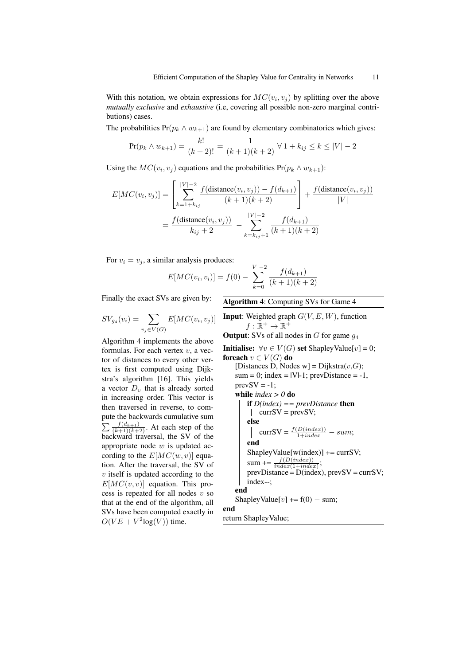With this notation, we obtain expressions for  $MC(v_i, v_j)$  by splitting over the above *mutually exclusive* and *exhaustive* (i.e, covering all possible non-zero marginal contributions) cases.

The probabilities  $Pr(p_k \wedge w_{k+1})$  are found by elementary combinatorics which gives:

$$
\Pr(p_k \land w_{k+1}) = \frac{k!}{(k+2)!} = \frac{1}{(k+1)(k+2)} \,\forall\, 1 + k_{ij} \le k \le |V| - 2
$$

Using the  $MC(v_i, v_j)$  equations and the probabilities  $Pr(p_k \wedge w_{k+1})$ :

$$
E[MC(v_i, v_j)] = \left[ \sum_{k=1+k_{ij}}^{|V|-2} \frac{f(\text{distance}(v_i, v_j)) - f(d_{k+1})}{(k+1)(k+2)} \right] + \frac{f(\text{distance}(v_i, v_j))}{|V|}
$$

$$
= \frac{f(\text{distance}(v_i, v_j))}{k_{ij} + 2} - \sum_{k=k_{ij}+1}^{|V|-2} \frac{f(d_{k+1})}{(k+1)(k+2)}
$$

For  $v_i = v_j$ , a similar analysis produces:

$$
E[MC(v_i, v_i)] = f(0) - \sum_{k=0}^{|V|-2} \frac{f(d_{k+1})}{(k+1)(k+2)}
$$

Finally the exact SVs are given by:

$$
SV_{g_4}(v_i) = \sum_{v_j \in V(G)} E[MC(v_i, v_j)]
$$

Algorithm 4 implements the above formulas. For each vertex  $v$ , a vector of distances to every other vertex is first computed using Dijkstra's algorithm [16]. This yields a vector  $D_v$  that is already sorted in increasing order. This vector is then traversed in reverse, to compute the backwards cumulative sum  $\sum \frac{f(d_{k+1})}{(k+1)(k+2)}$ . At each step of the backward traversal, the SV of the appropriate node  $w$  is updated according to the  $E[MC(w, v)]$  equation. After the traversal, the SV of  $v$  itself is updated according to the  $E[MC(v, v)]$  equation. This process is repeated for all nodes  $v$  so that at the end of the algorithm, all SVs have been computed exactly in  $O(VE + V^2 \log(V))$  time.

### Algorithm 4: Computing SVs for Game 4

**Input:** Weighted graph  $G(V, E, W)$ , function  $f:\mathbb{R}^+\to\mathbb{R}^+$ 

**Output:** SVs of all nodes in  $G$  for game  $g_4$ 

```
Initialise: \forall v \in V(G) set ShapleyValue[v] = 0;
foreach v \in V(G) do
    [Distances \hat{D}, Nodes w] = Dijkstra(v, G);
    sum = 0; index = |V|-1; prevDistance = -1,
    prevSV = -1;
    while index > 0 do
        if D(index) == prevDistance then
        \vert currSV = prevSV;
        else
            currSV = \frac{f(D(index))}{1+index} - sum;end
        ShapleyValue[w(index)] += currSV;
        sum += \frac{f(D(index))}{index(1+index)};prevDistance = D(index), prevSV = currSV;
       index--;
    end
   ShapleyValue[v] += f(0) – sum;
end
return ShapleyValue;
```